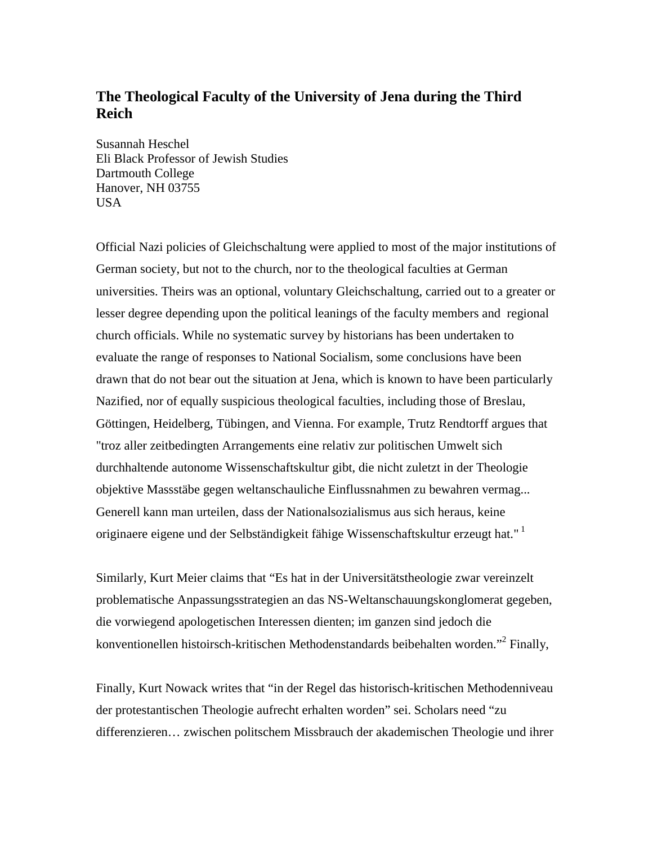# **The Theological Faculty of the University of Jena during the Third Reich**

Susannah Heschel Eli Black Professor of Jewish Studies Dartmouth College Hanover, NH 03755 USA

Official Nazi policies of Gleichschaltung were applied to most of the major institutions of German society, but not to the church, nor to the theological faculties at German universities. Theirs was an optional, voluntary Gleichschaltung, carried out to a greater or lesser degree depending upon the political leanings of the faculty members and regional church officials. While no systematic survey by historians has been undertaken to evaluate the range of responses to National Socialism, some conclusions have been drawn that do not bear out the situation at Jena, which is known to have been particularly Nazified, nor of equally suspicious theological faculties, including those of Breslau, Göttingen, Heidelberg, Tübingen, and Vienna. For example, Trutz Rendtorff argues that "troz aller zeitbedingten Arrangements eine relativ zur politischen Umwelt sich durchhaltende autonome Wissenschaftskultur gibt, die nicht zuletzt in der Theologie objektive Massstäbe gegen weltanschauliche Einflussnahmen zu bewahren vermag... Generell kann man urteilen, dass der Nationalsozialismus aus sich heraus, keine originaere eigene und der Selbständigkeit fähige Wissenschaftskultur erzeugt hat." [1](#page-15-0)

Similarly, Kurt Meier claims that "Es hat in der Universitätstheologie zwar vereinzelt problematische Anpassungsstrategien an das NS-Weltanschauungskonglomerat gegeben, die vorwiegend apologetischen Interessen dienten; im ganzen sind jedoch die konventionellen histoirsch-kritischen Methodenstandards beibehalten worden."<sup>[2](#page-15-0)</sup> Finally,

Finally, Kurt Nowack writes that "in der Regel das historisch-kritischen Methodenniveau der protestantischen Theologie aufrecht erhalten worden" sei. Scholars need "zu differenzieren… zwischen politschem Missbrauch der akademischen Theologie und ihrer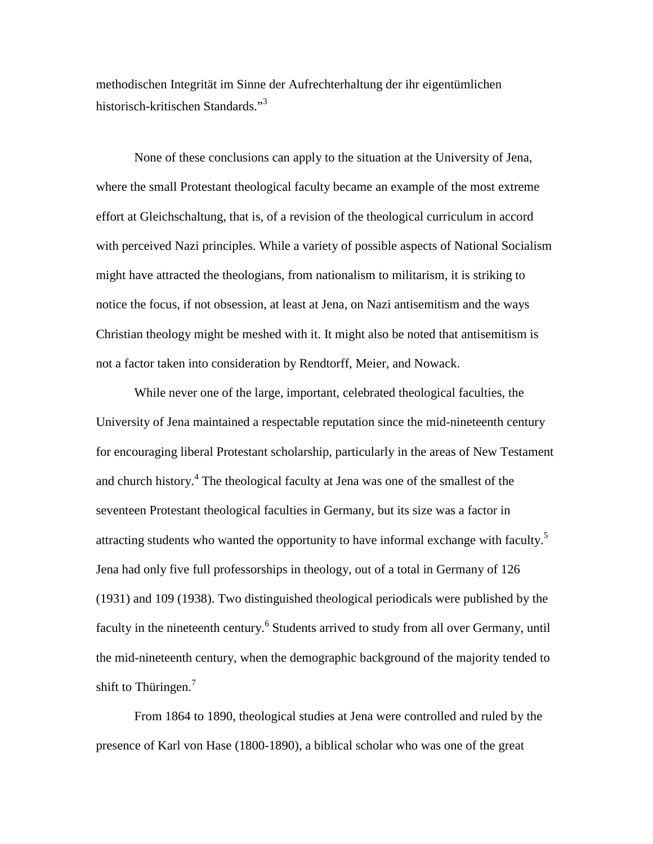methodischen Integrität im Sinne der Aufrechterhaltung der ihr eigentümlichen historisch-kritischen Standards."[3](#page-15-0)

None of these conclusions can apply to the situation at the University of Jena, where the small Protestant theological faculty became an example of the most extreme effort at Gleichschaltung, that is, of a revision of the theological curriculum in accord with perceived Nazi principles. While a variety of possible aspects of National Socialism might have attracted the theologians, from nationalism to militarism, it is striking to notice the focus, if not obsession, at least at Jena, on Nazi antisemitism and the ways Christian theology might be meshed with it. It might also be noted that antisemitism is not a factor taken into consideration by Rendtorff, Meier, and Nowack.

While never one of the large, important, celebrated theological faculties, the University of Jena maintained a respectable reputation since the mid-nineteenth century for encouraging liberal Protestant scholarship, particularly in the areas of New Testament and church history.<sup>[4](#page-15-0)</sup> The theological faculty at Jena was one of the smallest of the seventeen Protestant theological faculties in Germany, but its size was a factor in attracting students who wanted the opportunity to have informal exchange with faculty.<sup>[5](#page-15-0)</sup> Jena had only five full professorships in theology, out of a total in Germany of 126 (1931) and 109 (1938). Two distinguished theological periodicals were published by the faculty in the nineteenth century.<sup>[6](#page-15-0)</sup> Students arrived to study from all over Germany, until the mid-nineteenth century, when the demographic background of the majority tended to shift to Thüringen.<sup>[7](#page-15-0)</sup>

From 1864 to 1890, theological studies at Jena were controlled and ruled by the presence of Karl von Hase (1800-1890), a biblical scholar who was one of the great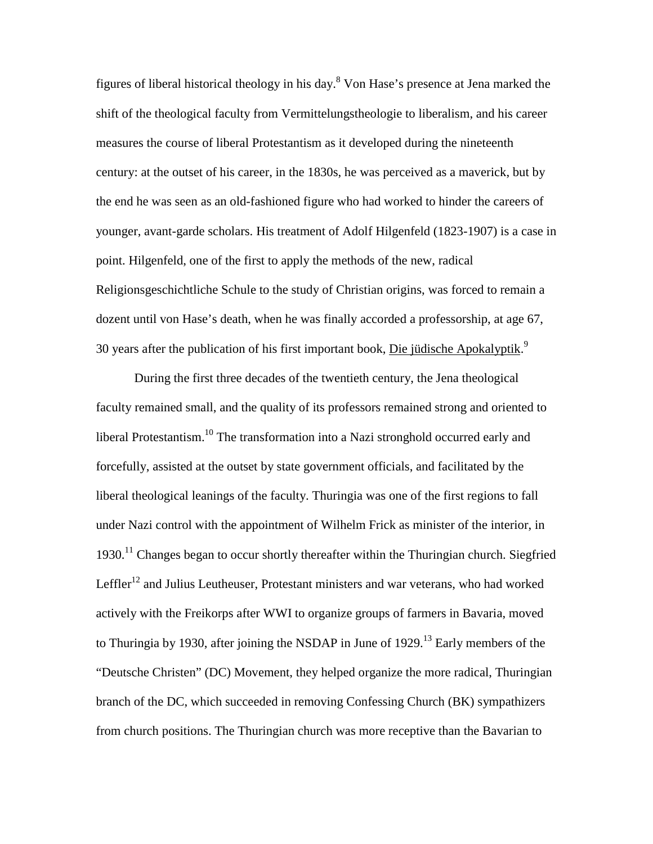figures of liberal historical theology in his day.<sup>[8](#page-15-0)</sup> Von Hase's presence at Jena marked the shift of the theological faculty from Vermittelungstheologie to liberalism, and his career measures the course of liberal Protestantism as it developed during the nineteenth century: at the outset of his career, in the 1830s, he was perceived as a maverick, but by the end he was seen as an old-fashioned figure who had worked to hinder the careers of younger, avant-garde scholars. His treatment of Adolf Hilgenfeld (1823-1907) is a case in point. Hilgenfeld, one of the first to apply the methods of the new, radical Religionsgeschichtliche Schule to the study of Christian origins, was forced to remain a dozent until von Hase's death, when he was finally accorded a professorship, at age 67, 30 years after the publication of his first important book, Die jüdische Apokalyptik.[9](#page-15-0)

During the first three decades of the twentieth century, the Jena theological faculty remained small, and the quality of its professors remained strong and oriented to liberal Protestantism.<sup>10</sup> The transformation into a Nazi stronghold occurred early and forcefully, assisted at the outset by state government officials, and facilitated by the liberal theological leanings of the faculty. Thuringia was one of the first regions to fall under Nazi control with the appointment of Wilhelm Frick as minister of the interior, in 1930.<sup>11</sup> Changes began to occur shortly thereafter within the Thuringian church. Siegfried Leffler<sup>12</sup> and Julius Leutheuser, Protestant ministers and war veterans, who had worked actively with the Freikorps after WWI to organize groups of farmers in Bavaria, moved to Thuringia by 1930, after joining the NSDAP in June of  $1929$ <sup> $13$ </sup> Early members of the "Deutsche Christen" (DC) Movement, they helped organize the more radical, Thuringian branch of the DC, which succeeded in removing Confessing Church (BK) sympathizers from church positions. The Thuringian church was more receptive than the Bavarian to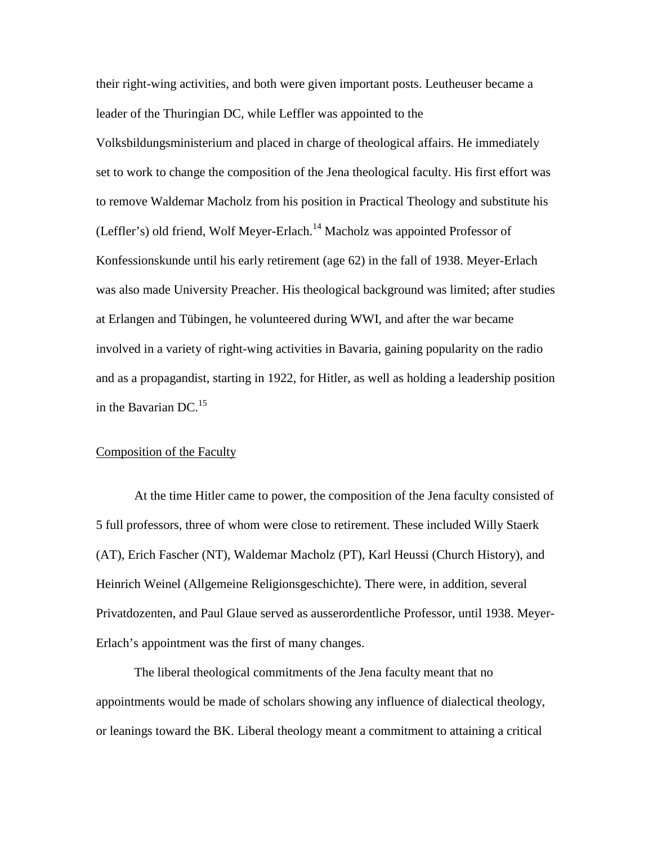their right-wing activities, and both were given important posts. Leutheuser became a leader of the Thuringian DC, while Leffler was appointed to the

Volksbildungsministerium and placed in charge of theological affairs. He immediately set to work to change the composition of the Jena theological faculty. His first effort was to remove Waldemar Macholz from his position in Practical Theology and substitute his (Leffler's) old friend, Wolf Meyer-Erlach.<sup>14</sup> Macholz was appointed Professor of Konfessionskunde until his early retirement (age 62) in the fall of 1938. Meyer-Erlach was also made University Preacher. His theological background was limited; after studies at Erlangen and Tübingen, he volunteered during WWI, and after the war became involved in a variety of right-wing activities in Bavaria, gaining popularity on the radio and as a propagandist, starting in 1922, for Hitler, as well as holding a leadership position in the Bavarian DC. $^{15}$  $^{15}$  $^{15}$ 

## Composition of the Faculty

At the time Hitler came to power, the composition of the Jena faculty consisted of 5 full professors, three of whom were close to retirement. These included Willy Staerk (AT), Erich Fascher (NT), Waldemar Macholz (PT), Karl Heussi (Church History), and Heinrich Weinel (Allgemeine Religionsgeschichte). There were, in addition, several Privatdozenten, and Paul Glaue served as ausserordentliche Professor, until 1938. Meyer-Erlach's appointment was the first of many changes.

The liberal theological commitments of the Jena faculty meant that no appointments would be made of scholars showing any influence of dialectical theology, or leanings toward the BK. Liberal theology meant a commitment to attaining a critical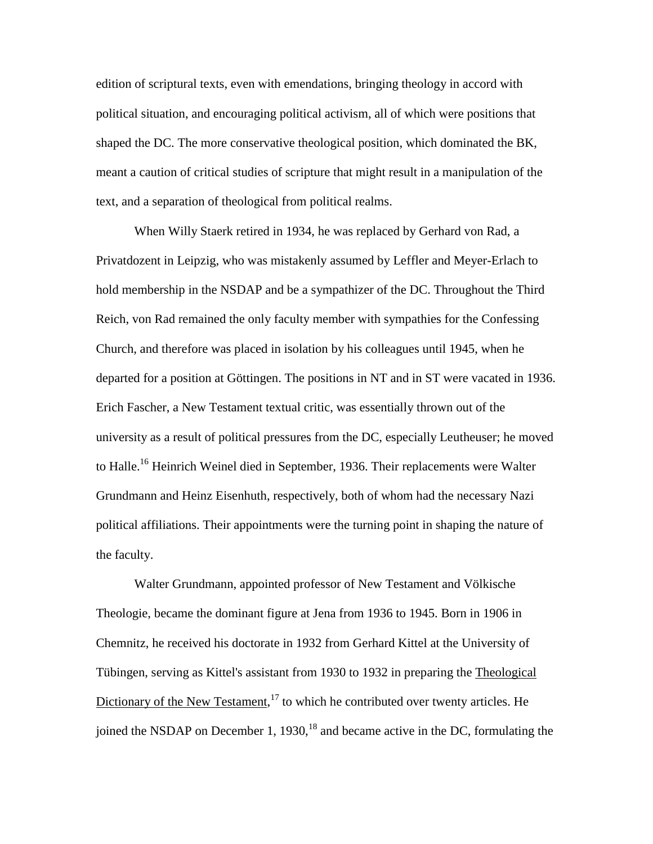edition of scriptural texts, even with emendations, bringing theology in accord with political situation, and encouraging political activism, all of which were positions that shaped the DC. The more conservative theological position, which dominated the BK, meant a caution of critical studies of scripture that might result in a manipulation of the text, and a separation of theological from political realms.

When Willy Staerk retired in 1934, he was replaced by Gerhard von Rad, a Privatdozent in Leipzig, who was mistakenly assumed by Leffler and Meyer-Erlach to hold membership in the NSDAP and be a sympathizer of the DC. Throughout the Third Reich, von Rad remained the only faculty member with sympathies for the Confessing Church, and therefore was placed in isolation by his colleagues until 1945, when he departed for a position at Göttingen. The positions in NT and in ST were vacated in 1936. Erich Fascher, a New Testament textual critic, was essentially thrown out of the university as a result of political pressures from the DC, especially Leutheuser; he moved to Halle.<sup>16</sup> Heinrich Weinel died in September, 1936. Their replacements were Walter Grundmann and Heinz Eisenhuth, respectively, both of whom had the necessary Nazi political affiliations. Their appointments were the turning point in shaping the nature of the faculty.

Walter Grundmann, appointed professor of New Testament and Völkische Theologie, became the dominant figure at Jena from 1936 to 1945. Born in 1906 in Chemnitz, he received his doctorate in 1932 from Gerhard Kittel at the University of Tübingen, serving as Kittel's assistant from 1930 to 1932 in preparing the Theological Dictionary of the New Testament, $17$  to which he contributed over twenty articles. He joined the NSDAP on December 1,  $1930<sup>18</sup>$  and became active in the DC, formulating the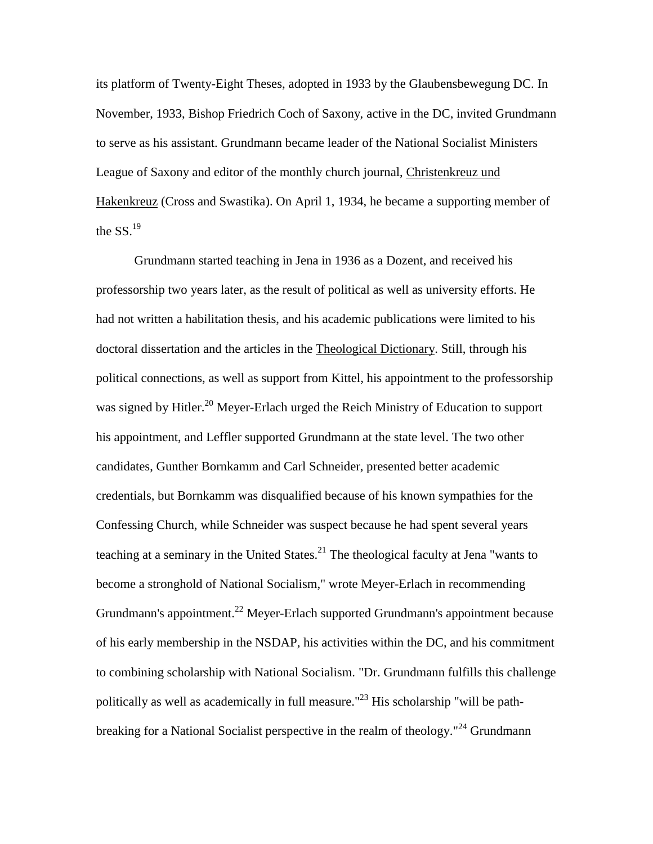its platform of Twenty-Eight Theses, adopted in 1933 by the Glaubensbewegung DC. In November, 1933, Bishop Friedrich Coch of Saxony, active in the DC, invited Grundmann to serve as his assistant. Grundmann became leader of the National Socialist Ministers League of Saxony and editor of the monthly church journal, Christenkreuz und Hakenkreuz (Cross and Swastika). On April 1, 1934, he became a supporting member of the  $SS<sup>19</sup>$ 

Grundmann started teaching in Jena in 1936 as a Dozent, and received his professorship two years later, as the result of political as well as university efforts. He had not written a habilitation thesis, and his academic publications were limited to his doctoral dissertation and the articles in the Theological Dictionary. Still, through his political connections, as well as support from Kittel, his appointment to the professorship was signed by Hitler.<sup>20</sup> Meyer-Erlach urged the Reich Ministry of Education to support his appointment, and Leffler supported Grundmann at the state level. The two other candidates, Gunther Bornkamm and Carl Schneider, presented better academic credentials, but Bornkamm was disqualified because of his known sympathies for the Confessing Church, while Schneider was suspect because he had spent several years teaching at a seminary in the United States. $^{21}$  The theological faculty at Jena "wants to become a stronghold of National Socialism," wrote Meyer-Erlach in recommending Grundmann's appointment.<sup>22</sup> Meyer-Erlach supported Grundmann's appointment because of his early membership in the NSDAP, his activities within the DC, and his commitment to combining scholarship with National Socialism. "Dr. Grundmann fulfills this challenge politically as well as academically in full measure." $^{23}$  His scholarship "will be pathbreaking for a National Socialist perspective in the realm of theology."<sup>24</sup> Grundmann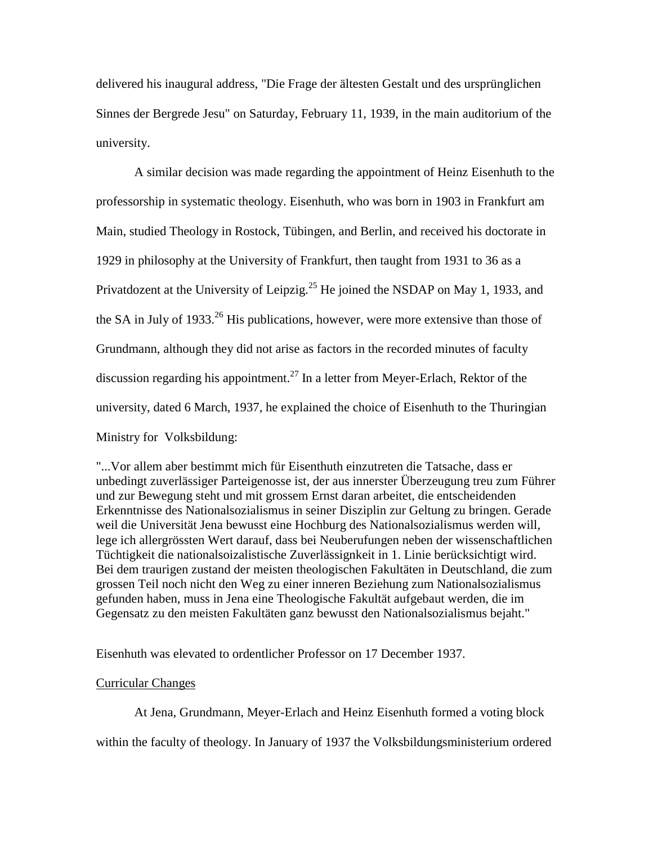delivered his inaugural address, "Die Frage der ältesten Gestalt und des ursprünglichen Sinnes der Bergrede Jesu" on Saturday, February 11, 1939, in the main auditorium of the university.

A similar decision was made regarding the appointment of Heinz Eisenhuth to the professorship in systematic theology. Eisenhuth, who was born in 1903 in Frankfurt am Main, studied Theology in Rostock, Tübingen, and Berlin, and received his doctorate in 1929 in philosophy at the University of Frankfurt, then taught from 1931 to 36 as a Privatdozent at the University of Leipzig.<sup>25</sup> He joined the NSDAP on May 1, 1933, and the SA in July of 1933.<sup>26</sup> His publications, however, were more extensive than those of Grundmann, although they did not arise as factors in the recorded minutes of faculty discussion regarding his appointment.<sup>27</sup> In a letter from Meyer-Erlach, Rektor of the university, dated 6 March, 1937, he explained the choice of Eisenhuth to the Thuringian Ministry for Volksbildung:

"...Vor allem aber bestimmt mich für Eisenthuth einzutreten die Tatsache, dass er unbedingt zuverlässiger Parteigenosse ist, der aus innerster Überzeugung treu zum Führer und zur Bewegung steht und mit grossem Ernst daran arbeitet, die entscheidenden Erkenntnisse des Nationalsozialismus in seiner Disziplin zur Geltung zu bringen. Gerade weil die Universität Jena bewusst eine Hochburg des Nationalsozialismus werden will, lege ich allergrössten Wert darauf, dass bei Neuberufungen neben der wissenschaftlichen Tüchtigkeit die nationalsoizalistische Zuverlässignkeit in 1. Linie berücksichtigt wird. Bei dem traurigen zustand der meisten theologischen Fakultäten in Deutschland, die zum grossen Teil noch nicht den Weg zu einer inneren Beziehung zum Nationalsozialismus gefunden haben, muss in Jena eine Theologische Fakultät aufgebaut werden, die im Gegensatz zu den meisten Fakultäten ganz bewusst den Nationalsozialismus bejaht."

Eisenhuth was elevated to ordentlicher Professor on 17 December 1937.

### Curricular Changes

At Jena, Grundmann, Meyer-Erlach and Heinz Eisenhuth formed a voting block

within the faculty of theology. In January of 1937 the Volksbildungsministerium ordered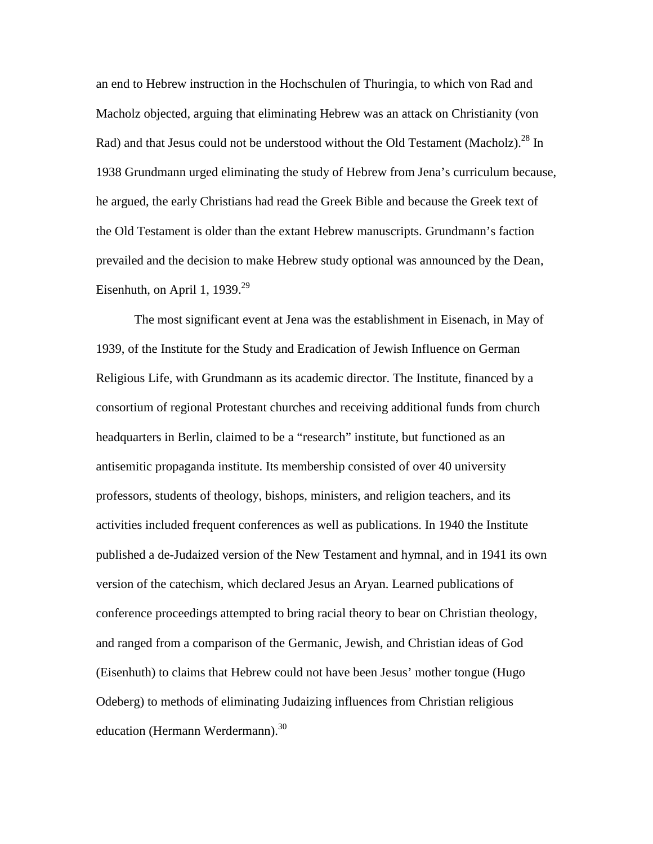an end to Hebrew instruction in the Hochschulen of Thuringia, to which von Rad and Macholz objected, arguing that eliminating Hebrew was an attack on Christianity (von Rad) and that Jesus could not be understood without the Old Testament (Macholz).<sup>28</sup> In 1938 Grundmann urged eliminating the study of Hebrew from Jena's curriculum because, he argued, the early Christians had read the Greek Bible and because the Greek text of the Old Testament is older than the extant Hebrew manuscripts. Grundmann's faction prevailed and the decision to make Hebrew study optional was announced by the Dean, Eisenhuth, on April 1, 1939. $^{29}$  $^{29}$  $^{29}$ 

The most significant event at Jena was the establishment in Eisenach, in May of 1939, of the Institute for the Study and Eradication of Jewish Influence on German Religious Life, with Grundmann as its academic director. The Institute, financed by a consortium of regional Protestant churches and receiving additional funds from church headquarters in Berlin, claimed to be a "research" institute, but functioned as an antisemitic propaganda institute. Its membership consisted of over 40 university professors, students of theology, bishops, ministers, and religion teachers, and its activities included frequent conferences as well as publications. In 1940 the Institute published a de-Judaized version of the New Testament and hymnal, and in 1941 its own version of the catechism, which declared Jesus an Aryan. Learned publications of conference proceedings attempted to bring racial theory to bear on Christian theology, and ranged from a comparison of the Germanic, Jewish, and Christian ideas of God (Eisenhuth) to claims that Hebrew could not have been Jesus' mother tongue (Hugo Odeberg) to methods of eliminating Judaizing influences from Christian religious education (Hermann Werdermann).<sup>[30](#page-15-0)</sup>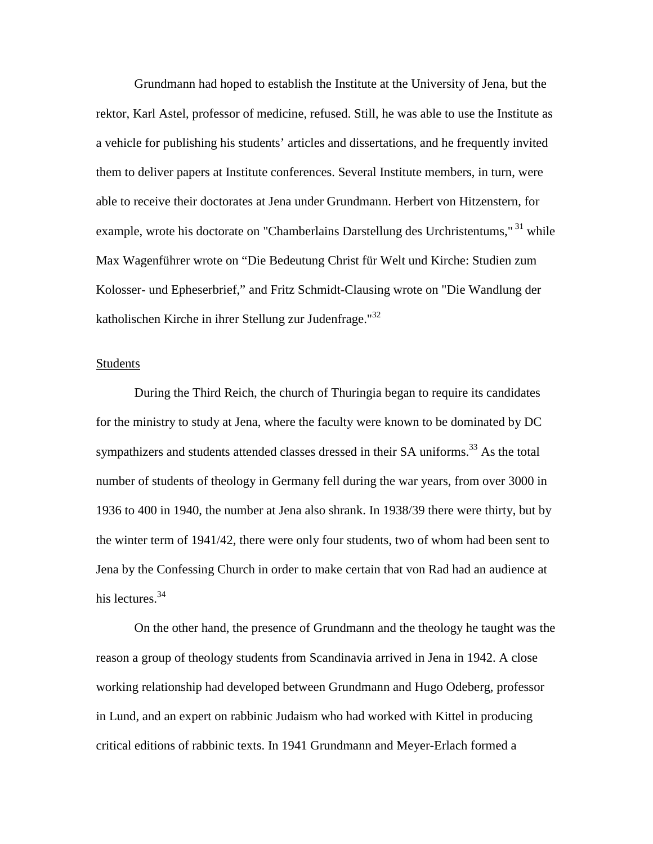Grundmann had hoped to establish the Institute at the University of Jena, but the rektor, Karl Astel, professor of medicine, refused. Still, he was able to use the Institute as a vehicle for publishing his students' articles and dissertations, and he frequently invited them to deliver papers at Institute conferences. Several Institute members, in turn, were able to receive their doctorates at Jena under Grundmann. Herbert von Hitzenstern, for example, wrote his doctorate on "Chamberlains Darstellung des Urchristentums,"<sup>31</sup> while Max Wagenführer wrote on "Die Bedeutung Christ für Welt und Kirche: Studien zum Kolosser- und Epheserbrief," and Fritz Schmidt-Clausing wrote on "Die Wandlung der katholischen Kirche in ihrer Stellung zur Judenfrage."[32](#page-15-0)

#### **Students**

During the Third Reich, the church of Thuringia began to require its candidates for the ministry to study at Jena, where the faculty were known to be dominated by DC sympathizers and students attended classes dressed in their SA uniforms.<sup>33</sup> As the total number of students of theology in Germany fell during the war years, from over 3000 in 1936 to 400 in 1940, the number at Jena also shrank. In 1938/39 there were thirty, but by the winter term of 1941/42, there were only four students, two of whom had been sent to Jena by the Confessing Church in order to make certain that von Rad had an audience at his lectures.<sup>[34](#page-15-0)</sup>

On the other hand, the presence of Grundmann and the theology he taught was the reason a group of theology students from Scandinavia arrived in Jena in 1942. A close working relationship had developed between Grundmann and Hugo Odeberg, professor in Lund, and an expert on rabbinic Judaism who had worked with Kittel in producing critical editions of rabbinic texts. In 1941 Grundmann and Meyer-Erlach formed a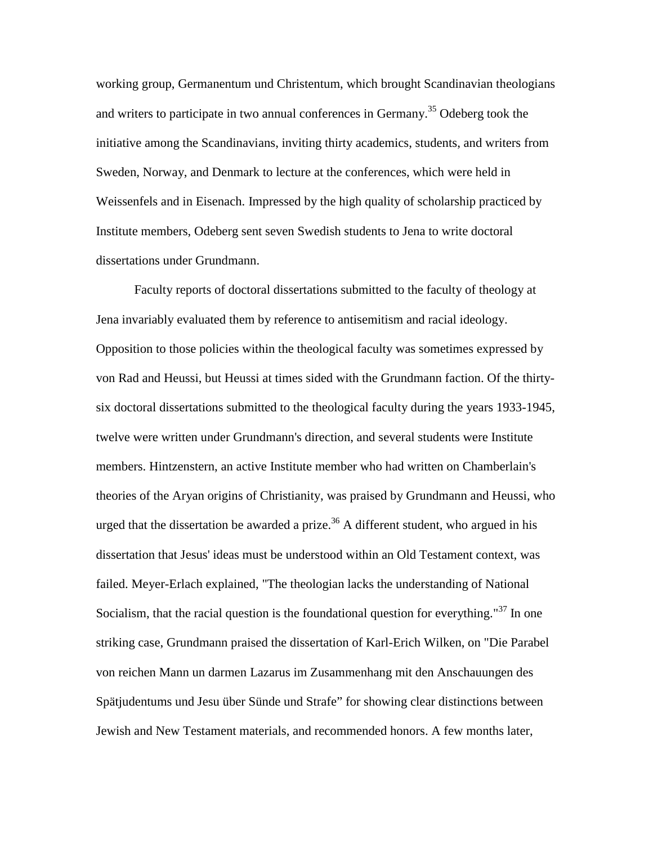working group, Germanentum und Christentum, which brought Scandinavian theologians and writers to participate in two annual conferences in Germany.<sup>35</sup> Odeberg took the initiative among the Scandinavians, inviting thirty academics, students, and writers from Sweden, Norway, and Denmark to lecture at the conferences, which were held in Weissenfels and in Eisenach. Impressed by the high quality of scholarship practiced by Institute members, Odeberg sent seven Swedish students to Jena to write doctoral dissertations under Grundmann.

Faculty reports of doctoral dissertations submitted to the faculty of theology at Jena invariably evaluated them by reference to antisemitism and racial ideology. Opposition to those policies within the theological faculty was sometimes expressed by von Rad and Heussi, but Heussi at times sided with the Grundmann faction. Of the thirtysix doctoral dissertations submitted to the theological faculty during the years 1933-1945, twelve were written under Grundmann's direction, and several students were Institute members. Hintzenstern, an active Institute member who had written on Chamberlain's theories of the Aryan origins of Christianity, was praised by Grundmann and Heussi, who urged that the dissertation be awarded a prize.<sup>36</sup> A different student, who argued in his dissertation that Jesus' ideas must be understood within an Old Testament context, was failed. Meyer-Erlach explained, "The theologian lacks the understanding of National Socialism, that the racial question is the foundational question for everything.<sup>"37</sup> In one striking case, Grundmann praised the dissertation of Karl-Erich Wilken, on "Die Parabel von reichen Mann un darmen Lazarus im Zusammenhang mit den Anschauungen des Spätjudentums und Jesu über Sünde und Strafe" for showing clear distinctions between Jewish and New Testament materials, and recommended honors. A few months later,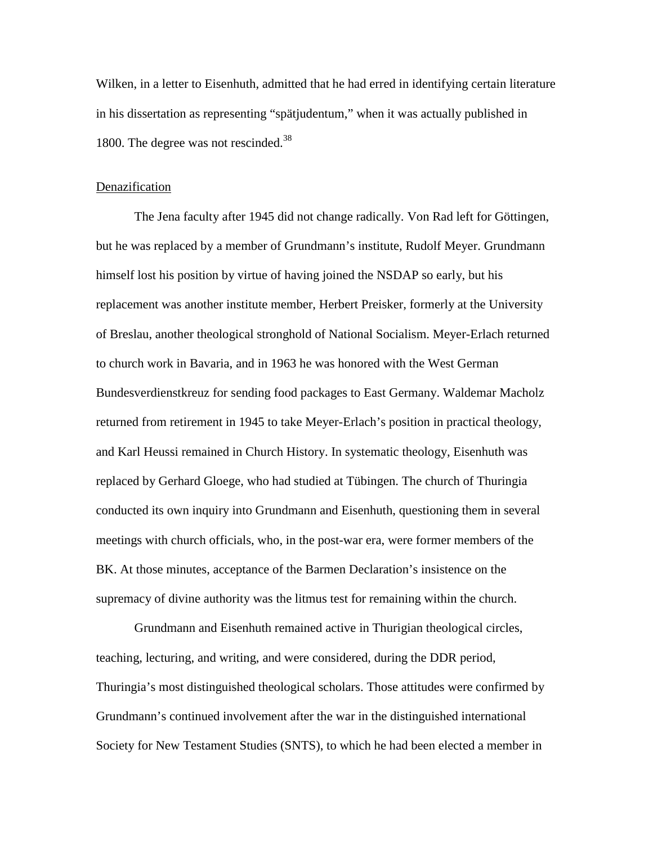Wilken, in a letter to Eisenhuth, admitted that he had erred in identifying certain literature in his dissertation as representing "spätjudentum," when it was actually published in 1800. The degree was not rescinded.<sup>[38](#page-15-0)</sup>

#### Denazification

The Jena faculty after 1945 did not change radically. Von Rad left for Göttingen, but he was replaced by a member of Grundmann's institute, Rudolf Meyer. Grundmann himself lost his position by virtue of having joined the NSDAP so early, but his replacement was another institute member, Herbert Preisker, formerly at the University of Breslau, another theological stronghold of National Socialism. Meyer-Erlach returned to church work in Bavaria, and in 1963 he was honored with the West German Bundesverdienstkreuz for sending food packages to East Germany. Waldemar Macholz returned from retirement in 1945 to take Meyer-Erlach's position in practical theology, and Karl Heussi remained in Church History. In systematic theology, Eisenhuth was replaced by Gerhard Gloege, who had studied at Tübingen. The church of Thuringia conducted its own inquiry into Grundmann and Eisenhuth, questioning them in several meetings with church officials, who, in the post-war era, were former members of the BK. At those minutes, acceptance of the Barmen Declaration's insistence on the supremacy of divine authority was the litmus test for remaining within the church.

Grundmann and Eisenhuth remained active in Thurigian theological circles, teaching, lecturing, and writing, and were considered, during the DDR period, Thuringia's most distinguished theological scholars. Those attitudes were confirmed by Grundmann's continued involvement after the war in the distinguished international Society for New Testament Studies (SNTS), to which he had been elected a member in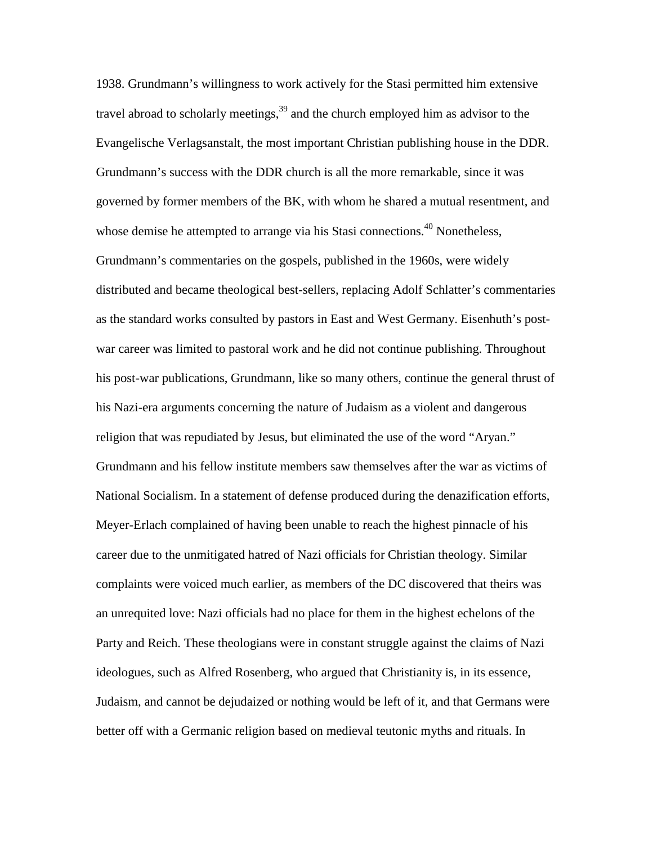1938. Grundmann's willingness to work actively for the Stasi permitted him extensive travel abroad to scholarly meetings,  $39$  and the church employed him as advisor to the Evangelische Verlagsanstalt, the most important Christian publishing house in the DDR. Grundmann's success with the DDR church is all the more remarkable, since it was governed by former members of the BK, with whom he shared a mutual resentment, and whose demise he attempted to arrange via his Stasi connections.<sup>40</sup> Nonetheless, Grundmann's commentaries on the gospels, published in the 1960s, were widely distributed and became theological best-sellers, replacing Adolf Schlatter's commentaries as the standard works consulted by pastors in East and West Germany. Eisenhuth's postwar career was limited to pastoral work and he did not continue publishing. Throughout his post-war publications, Grundmann, like so many others, continue the general thrust of his Nazi-era arguments concerning the nature of Judaism as a violent and dangerous religion that was repudiated by Jesus, but eliminated the use of the word "Aryan." Grundmann and his fellow institute members saw themselves after the war as victims of National Socialism. In a statement of defense produced during the denazification efforts, Meyer-Erlach complained of having been unable to reach the highest pinnacle of his career due to the unmitigated hatred of Nazi officials for Christian theology. Similar complaints were voiced much earlier, as members of the DC discovered that theirs was an unrequited love: Nazi officials had no place for them in the highest echelons of the Party and Reich. These theologians were in constant struggle against the claims of Nazi ideologues, such as Alfred Rosenberg, who argued that Christianity is, in its essence, Judaism, and cannot be dejudaized or nothing would be left of it, and that Germans were better off with a Germanic religion based on medieval teutonic myths and rituals. In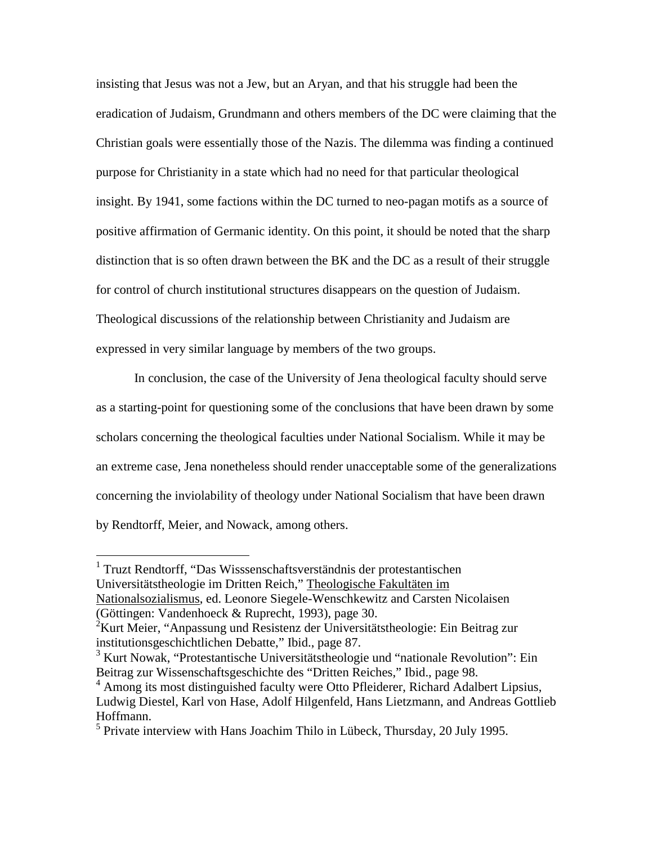insisting that Jesus was not a Jew, but an Aryan, and that his struggle had been the eradication of Judaism, Grundmann and others members of the DC were claiming that the Christian goals were essentially those of the Nazis. The dilemma was finding a continued purpose for Christianity in a state which had no need for that particular theological insight. By 1941, some factions within the DC turned to neo-pagan motifs as a source of positive affirmation of Germanic identity. On this point, it should be noted that the sharp distinction that is so often drawn between the BK and the DC as a result of their struggle for control of church institutional structures disappears on the question of Judaism. Theological discussions of the relationship between Christianity and Judaism are expressed in very similar language by members of the two groups.

In conclusion, the case of the University of Jena theological faculty should serve as a starting-point for questioning some of the conclusions that have been drawn by some scholars concerning the theological faculties under National Socialism. While it may be an extreme case, Jena nonetheless should render unacceptable some of the generalizations concerning the inviolability of theology under National Socialism that have been drawn by Rendtorff, Meier, and Nowack, among others.

<sup>1</sup> Truzt Rendtorff, "Das Wisssenschaftsverständnis der protestantischen Universitätstheologie im Dritten Reich," Theologische Fakultäten im Nationalsozialismus, ed. Leonore Siegele-Wenschkewitz and Carsten Nicolaisen (Göttingen: Vandenhoeck & Ruprecht, 1993), page 30.

 $\overline{a}$ 

 $2^2$ Kurt Meier, "Anpassung und Resistenz der Universitätstheologie: Ein Beitrag zur institutionsgeschichtlichen Debatte," Ibid., page 87.

<sup>&</sup>lt;sup>3</sup> Kurt Nowak, "Protestantische Universitätstheologie und "nationale Revolution": Ein Beitrag zur Wissenschaftsgeschichte des "Dritten Reiches," Ibid., page 98.

<sup>&</sup>lt;sup>4</sup> Among its most distinguished faculty were Otto Pfleiderer, Richard Adalbert Lipsius, Ludwig Diestel, Karl von Hase, Adolf Hilgenfeld, Hans Lietzmann, and Andreas Gottlieb Hoffmann.

<sup>&</sup>lt;sup>5</sup> Private interview with Hans Joachim Thilo in Lübeck, Thursday, 20 July 1995.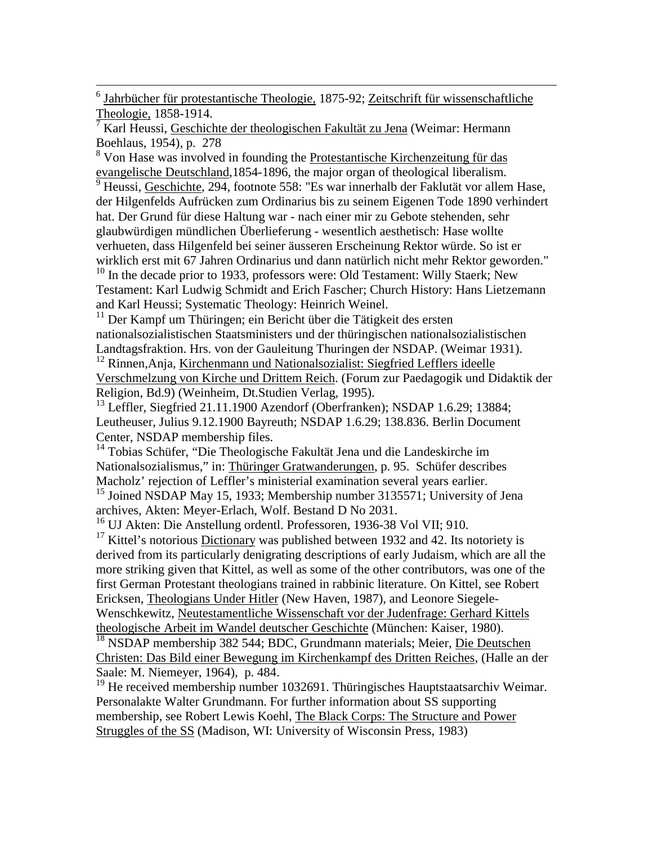6 Jahrbücher für protestantische Theologie, 1875-92; Zeitschrift für wissenschaftliche Theologie, 1858-1914.

7 Karl Heussi, Geschichte der theologischen Fakultät zu Jena (Weimar: Hermann Boehlaus, 1954), p. 278

<sup>8</sup> Von Hase was involved in founding the Protestantische Kirchenzeitung für das evangelische Deutschland,1854-1896, the major organ of theological liberalism.

<sup>9</sup> Heussi, Geschichte, 294, footnote 558: "Es war innerhalb der Faklutät vor allem Hase, der Hilgenfelds Aufrücken zum Ordinarius bis zu seinem Eigenen Tode 1890 verhindert hat. Der Grund für diese Haltung war - nach einer mir zu Gebote stehenden, sehr glaubwürdigen mündlichen Überlieferung - wesentlich aesthetisch: Hase wollte verhueten, dass Hilgenfeld bei seiner äusseren Erscheinung Rektor würde. So ist er wirklich erst mit 67 Jahren Ordinarius und dann natürlich nicht mehr Rektor geworden." <sup>10</sup> In the decade prior to 1933, professors were: Old Testament: Willy Staerk; New Testament: Karl Ludwig Schmidt and Erich Fascher; Church History: Hans Lietzemann

and Karl Heussi; Systematic Theology: Heinrich Weinel.

<sup>11</sup> Der Kampf um Thüringen; ein Bericht über die Tätigkeit des ersten nationalsozialistischen Staatsministers und der thüringischen nationalsozialistischen Landtagsfraktion. Hrs. von der Gauleitung Thuringen der NSDAP. (Weimar 1931).

<sup>12</sup> Rinnen, Anja, Kirchenmann und Nationalsozialist: Siegfried Lefflers ideelle Verschmelzung von Kirche und Drittem Reich. (Forum zur Paedagogik und Didaktik der Religion, Bd.9) (Weinheim, Dt.Studien Verlag, 1995).

 $^{13}$  Leffler, Siegfried 21.11.1900 Azendorf (Oberfranken); NSDAP 1.6.29; 13884; Leutheuser, Julius 9.12.1900 Bayreuth; NSDAP 1.6.29; 138.836. Berlin Document Center, NSDAP membership files.

<sup>14</sup> Tobias Schüfer, "Die Theologische Fakultät Jena und die Landeskirche im Nationalsozialismus," in: Thüringer Gratwanderungen, p. 95. Schüfer describes Macholz' rejection of Leffler's ministerial examination several years earlier.

<sup>15</sup> Joined NSDAP May 15, 1933; Membership number 3135571; University of Jena archives, Akten: Meyer-Erlach, Wolf. Bestand D No 2031.

16 UJ Akten: Die Anstellung ordentl. Professoren, 1936-38 Vol VII; 910.

 $17$  Kittel's notorious Dictionary was published between 1932 and 42. Its notoriety is derived from its particularly denigrating descriptions of early Judaism, which are all the more striking given that Kittel, as well as some of the other contributors, was one of the first German Protestant theologians trained in rabbinic literature. On Kittel, see Robert Ericksen, Theologians Under Hitler (New Haven, 1987), and Leonore Siegele-Wenschkewitz, Neutestamentliche Wissenschaft vor der Judenfrage: Gerhard Kittels theologische Arbeit im Wandel deutscher Geschichte (München: Kaiser, 1980).

<sup>18</sup> NSDAP membership 382 544; BDC, Grundmann materials; Meier, Die Deutschen Christen: Das Bild einer Bewegung im Kirchenkampf des Dritten Reiches, (Halle an der Saale: M. Niemeyer, 1964), p. 484.

<sup>19</sup> He received membership number 1032691. Thüringisches Hauptstaatsarchiv Weimar. Personalakte Walter Grundmann. For further information about SS supporting membership, see Robert Lewis Koehl, The Black Corps: The Structure and Power Struggles of the SS (Madison, WI: University of Wisconsin Press, 1983)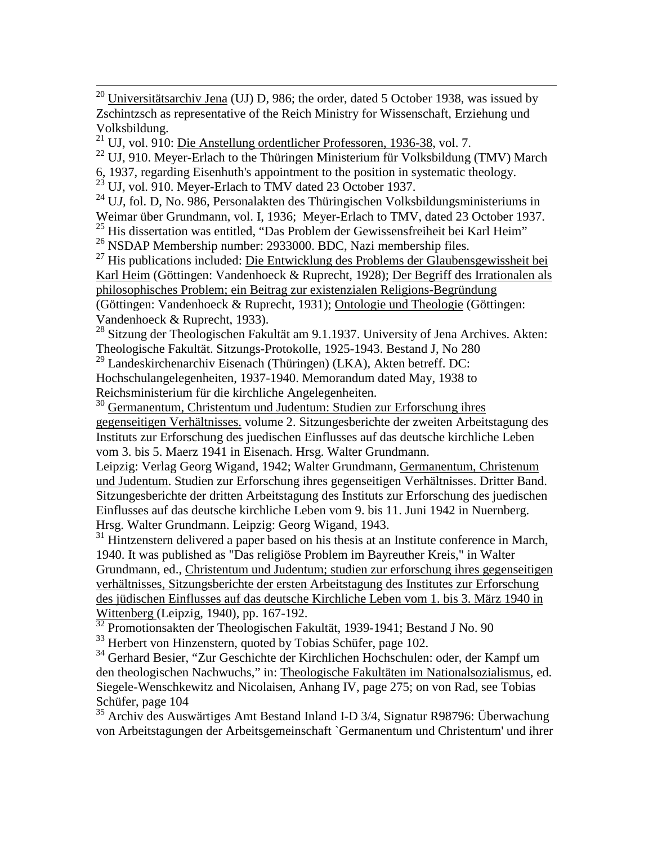<sup>20</sup> Universitätsarchiv Jena (UJ) D, 986; the order, dated 5 October 1938, was issued by Zschintzsch as representative of the Reich Ministry for Wissenschaft, Erziehung und Volksbildung.

<sup>21</sup> UJ, vol. 910: <u>Die Anstellung ordentlicher Professoren, 1936-38</u>, vol. 7.

 $^{22}$  UJ, 910. Meyer-Erlach to the Thüringen Ministerium für Volksbildung (TMV) March

6, 1937, regarding Eisenhuth's appointment to the position in systematic theology.

 $^{23}$  UJ, vol. 910. Meyer-Erlach to TMV dated 23 October 1937.

24 U*J*, fol. D, No. 986, Personalakten des Thüringischen Volksbildungsministeriums in Weimar über Grundmann, vol. I, 1936; Meyer-Erlach to TMV, dated 23 October 1937. <sup>25</sup> His dissertation was entitled, "Das Problem der Gewissensfreiheit bei Karl Heim"

26 NSDAP Membership number: 2933000. BDC, Nazi membership files.

 $^{27}$  His publications included: Die Entwicklung des Problems der Glaubensgewissheit bei Karl Heim (Göttingen: Vandenhoeck & Ruprecht, 1928); Der Begriff des Irrationalen als philosophisches Problem; ein Beitrag zur existenzialen Religions-Begründung (Göttingen: Vandenhoeck & Ruprecht, 1931); Ontologie und Theologie (Göttingen: Vandenhoeck & Ruprecht, 1933).

<sup>28</sup> Sitzung der Theologischen Fakultät am 9.1.1937. University of Jena Archives. Akten: Theologische Fakultät. Sitzungs-Protokolle, 1925-1943. Bestand J, No 280

<sup>29</sup> Landeskirchenarchiv Eisenach (Thüringen) (LKA), Akten betreff. DC:

Hochschulangelegenheiten, 1937-1940. Memorandum dated May, 1938 to Reichsministerium für die kirchliche Angelegenheiten.

30 Germanentum, Christentum und Judentum: Studien zur Erforschung ihres gegenseitigen Verhältnisses. volume 2. Sitzungesberichte der zweiten Arbeitstagung des Instituts zur Erforschung des juedischen Einflusses auf das deutsche kirchliche Leben vom 3. bis 5. Maerz 1941 in Eisenach. Hrsg. Walter Grundmann.

Leipzig: Verlag Georg Wigand, 1942; Walter Grundmann, Germanentum, Christenum und Judentum. Studien zur Erforschung ihres gegenseitigen Verhältnisses. Dritter Band. Sitzungesberichte der dritten Arbeitstagung des Instituts zur Erforschung des juedischen Einflusses auf das deutsche kirchliche Leben vom 9. bis 11. Juni 1942 in Nuernberg. Hrsg. Walter Grundmann. Leipzig: Georg Wigand, 1943.

 $31$  Hintzenstern delivered a paper based on his thesis at an Institute conference in March, 1940. It was published as "Das religiöse Problem im Bayreuther Kreis," in Walter Grundmann, ed., Christentum und Judentum; studien zur erforschung ihres gegenseitigen verhältnisses, Sitzungsberichte der ersten Arbeitstagung des Institutes zur Erforschung des jüdischen Einflusses auf das deutsche Kirchliche Leben vom 1. bis 3. März 1940 in Wittenberg (Leipzig, 1940), pp. 167-192.

<sup>32</sup> Promotionsakten der Theologischen Fakultät, 1939-1941; Bestand J No. 90

<sup>33</sup> Herbert von Hinzenstern, quoted by Tobias Schüfer, page 102.

<sup>34</sup> Gerhard Besier, "Zur Geschichte der Kirchlichen Hochschulen: oder, der Kampf um den theologischen Nachwuchs," in: Theologische Fakultäten im Nationalsozialismus, ed. Siegele-Wenschkewitz and Nicolaisen, Anhang IV, page 275; on von Rad, see Tobias Schüfer, page 104

35 Archiv des Auswärtiges Amt Bestand Inland I-D 3/4, Signatur R98796: Überwachung von Arbeitstagungen der Arbeitsgemeinschaft `Germanentum und Christentum' und ihrer